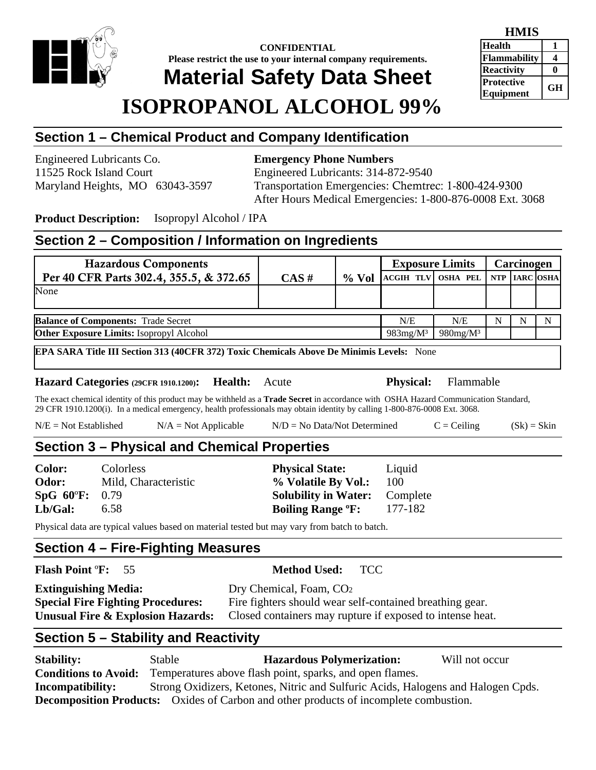

**CONFIDENTIAL Please restrict the use to your internal company requirements.** 

# **Material Safety Data Sheet**

# **ISOPROPANOL ALCOHOL 99%**

| HMIS              |    |
|-------------------|----|
| <b>Health</b>     |    |
| Flammability      |    |
| <b>Reactivity</b> |    |
| <b>Protective</b> | GН |
| Equipment         |    |

# **Section 1 – Chemical Product and Company Identification**

Engineered Lubricants Co. **Emergency Phone Numbers** 

11525 Rock Island Court Engineered Lubricants: 314-872-9540 Maryland Heights, MO 63043-3597 Transportation Emergencies: Chemtrec: 1-800-424-9300 After Hours Medical Emergencies: 1-800-876-0008 Ext. 3068

**Product Description:** Isopropyl Alcohol / IPA

# **Section 2 – Composition / Information on Ingredients**

| <b>Hazardous Components</b>                     |          |          | <b>Exposure Limits</b>           |                         |   | Carcinogen |   |
|-------------------------------------------------|----------|----------|----------------------------------|-------------------------|---|------------|---|
| Per 40 CFR Parts 302.4, 355.5, & 372.65         | $CAS \#$ | $\%$ Vol | ACGIH TLV OSHA PEL NTP IARC OSHA |                         |   |            |   |
| None                                            |          |          |                                  |                         |   |            |   |
|                                                 |          |          |                                  |                         |   |            |   |
| <b>Balance of Components: Trade Secret</b>      |          |          | N/E                              | N/E                     | N |            | N |
| <b>Other Exposure Limits: Isopropyl Alcohol</b> |          |          | $983mg/M^3$                      | $980$ mg/M <sup>3</sup> |   |            |   |

**EPA SARA Title III Section 313 (40CFR 372) Toxic Chemicals Above De Minimis Levels:** None

**Hazard Categories (29CFR 1910.1200): Health:** Acute **Physical:** Flammable

The exact chemical identity of this product may be withheld as a **Trade Secret** in accordance with OSHA Hazard Communication Standard, 29 CFR 1910.1200(i). In a medical emergency, health professionals may obtain identity by calling 1-800-876-0008 Ext. 3068.

 $N/E = Not Established$   $N/A = Not Applied$   $N/D = No Data/Not Determined$   $C = Ceiling$   $(Sk) = Skin$ 

# **Section 3 – Physical and Chemical Properties**

| Color:         | <b>Colorless</b>     | <b>Physical State:</b>              | Liquid   |
|----------------|----------------------|-------------------------------------|----------|
| Odor:          | Mild, Characteristic | % Volatile By Vol.:                 | 100      |
| SpG 60°F: 0.79 |                      | <b>Solubility in Water:</b>         | Complete |
| Lb/Gal:        | 6.58                 | <b>Boiling Range <sup>o</sup>F:</b> | 177-182  |

Physical data are typical values based on material tested but may vary from batch to batch.

# **Section 4 – Fire-Fighting Measures**

### **Flash Point** º**F:** 55 **Method Used:** TCC

| <b>Extinguishing Media:</b>              | Dry Chemical, Foam, CO <sub>2</sub>                       |
|------------------------------------------|-----------------------------------------------------------|
| <b>Special Fire Fighting Procedures:</b> | Fire fighters should wear self-contained breathing gear.  |
| Unusual Fire & Explosion Hazards:        | Closed containers may rupture if exposed to intense heat. |

# **Section 5 – Stability and Reactivity**

| <b>Stability:</b>           | Stable                                                                           | <b>Hazardous Polymerization:</b>                                                             | Will not occur |
|-----------------------------|----------------------------------------------------------------------------------|----------------------------------------------------------------------------------------------|----------------|
| <b>Conditions to Avoid:</b> |                                                                                  | Temperatures above flash point, sparks, and open flames.                                     |                |
| Incompatibility:            | Strong Oxidizers, Ketones, Nitric and Sulfuric Acids, Halogens and Halogen Cpds. |                                                                                              |                |
|                             |                                                                                  | <b>Decomposition Products:</b> Oxides of Carbon and other products of incomplete combustion. |                |